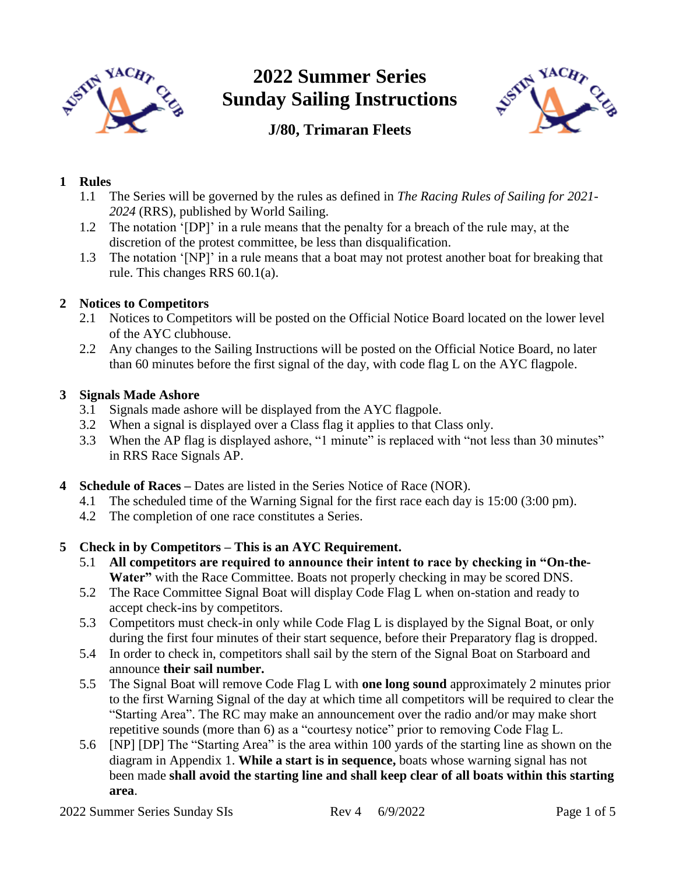

# **2022 Summer Series Sunday Sailing Instructions**



### **J/80, Trimaran Fleets**

### **1 Rules**

- 1.1 The Series will be governed by the rules as defined in *The Racing Rules of Sailing for 2021- 2024* (RRS), published by World Sailing.
- 1.2 The notation '[DP]' in a rule means that the penalty for a breach of the rule may, at the discretion of the protest committee, be less than disqualification.
- 1.3 The notation '[NP]' in a rule means that a boat may not protest another boat for breaking that rule. This changes RRS 60.1(a).

#### **2 Notices to Competitors**

- 2.1 Notices to Competitors will be posted on the Official Notice Board located on the lower level of the AYC clubhouse.
- 2.2 Any changes to the Sailing Instructions will be posted on the Official Notice Board, no later than 60 minutes before the first signal of the day, with code flag L on the AYC flagpole.

#### **3 Signals Made Ashore**

- 3.1 Signals made ashore will be displayed from the AYC flagpole.
- 3.2 When a signal is displayed over a Class flag it applies to that Class only.
- 3.3 When the AP flag is displayed ashore, "1 minute" is replaced with "not less than 30 minutes" in RRS Race Signals AP.
- **4 Schedule of Races –** Dates are listed in the Series Notice of Race (NOR).
	- 4.1 The scheduled time of the Warning Signal for the first race each day is 15:00 (3:00 pm).
	- 4.2 The completion of one race constitutes a Series.

#### **5 Check in by Competitors – This is an AYC Requirement.**

- 5.1 **All competitors are required to announce their intent to race by checking in "On-the-Water"** with the Race Committee. Boats not properly checking in may be scored DNS.
- 5.2 The Race Committee Signal Boat will display Code Flag L when on-station and ready to accept check-ins by competitors.
- 5.3 Competitors must check-in only while Code Flag L is displayed by the Signal Boat, or only during the first four minutes of their start sequence, before their Preparatory flag is dropped.
- 5.4 In order to check in, competitors shall sail by the stern of the Signal Boat on Starboard and announce **their sail number.**
- 5.5 The Signal Boat will remove Code Flag L with **one long sound** approximately 2 minutes prior to the first Warning Signal of the day at which time all competitors will be required to clear the "Starting Area". The RC may make an announcement over the radio and/or may make short repetitive sounds (more than 6) as a "courtesy notice" prior to removing Code Flag L.
- 5.6 [NP] [DP] The "Starting Area" is the area within 100 yards of the starting line as shown on the diagram in Appendix 1. **While a start is in sequence,** boats whose warning signal has not been made **shall avoid the starting line and shall keep clear of all boats within this starting area**.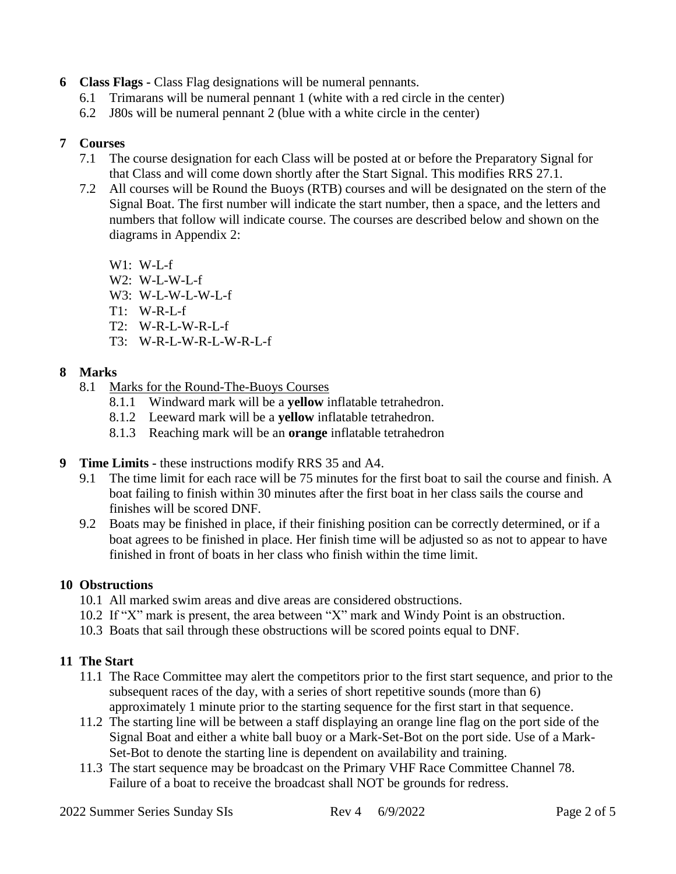- **6 Class Flags -** Class Flag designations will be numeral pennants.
	- 6.1 Trimarans will be numeral pennant 1 (white with a red circle in the center)
	- 6.2 J80s will be numeral pennant 2 (blue with a white circle in the center)

#### **7 Courses**

- 7.1 The course designation for each Class will be posted at or before the Preparatory Signal for that Class and will come down shortly after the Start Signal. This modifies RRS 27.1.
- 7.2 All courses will be Round the Buoys (RTB) courses and will be designated on the stern of the Signal Boat. The first number will indicate the start number, then a space, and the letters and numbers that follow will indicate course. The courses are described below and shown on the diagrams in Appendix 2:

 $W1: W-L-f$ W2: W-L-W-L-f

- W3: W-L-W-L-W-L-f
- T1: W-R-L-f
- T2: W-R-L-W-R-L-f
- T3: W-R-L-W-R-L-W-R-L-f

#### **8 Marks**

- 8.1 Marks for the Round-The-Buoys Courses
	- 8.1.1 Windward mark will be a **yellow** inflatable tetrahedron.
	- 8.1.2 Leeward mark will be a **yellow** inflatable tetrahedron.
	- 8.1.3 Reaching mark will be an **orange** inflatable tetrahedron
- **9 Time Limits -** these instructions modify RRS 35 and A4.
	- 9.1 The time limit for each race will be 75 minutes for the first boat to sail the course and finish. A boat failing to finish within 30 minutes after the first boat in her class sails the course and finishes will be scored DNF.
	- 9.2 Boats may be finished in place, if their finishing position can be correctly determined, or if a boat agrees to be finished in place. Her finish time will be adjusted so as not to appear to have finished in front of boats in her class who finish within the time limit.

#### **10 Obstructions**

- 10.1 All marked swim areas and dive areas are considered obstructions.
- 10.2 If "X" mark is present, the area between "X" mark and Windy Point is an obstruction.
- 10.3 Boats that sail through these obstructions will be scored points equal to DNF.

#### **11 The Start**

- 11.1 The Race Committee may alert the competitors prior to the first start sequence, and prior to the subsequent races of the day, with a series of short repetitive sounds (more than 6) approximately 1 minute prior to the starting sequence for the first start in that sequence.
- 11.2 The starting line will be between a staff displaying an orange line flag on the port side of the Signal Boat and either a white ball buoy or a Mark-Set-Bot on the port side. Use of a Mark-Set-Bot to denote the starting line is dependent on availability and training.
- 11.3 The start sequence may be broadcast on the Primary VHF Race Committee Channel 78. Failure of a boat to receive the broadcast shall NOT be grounds for redress.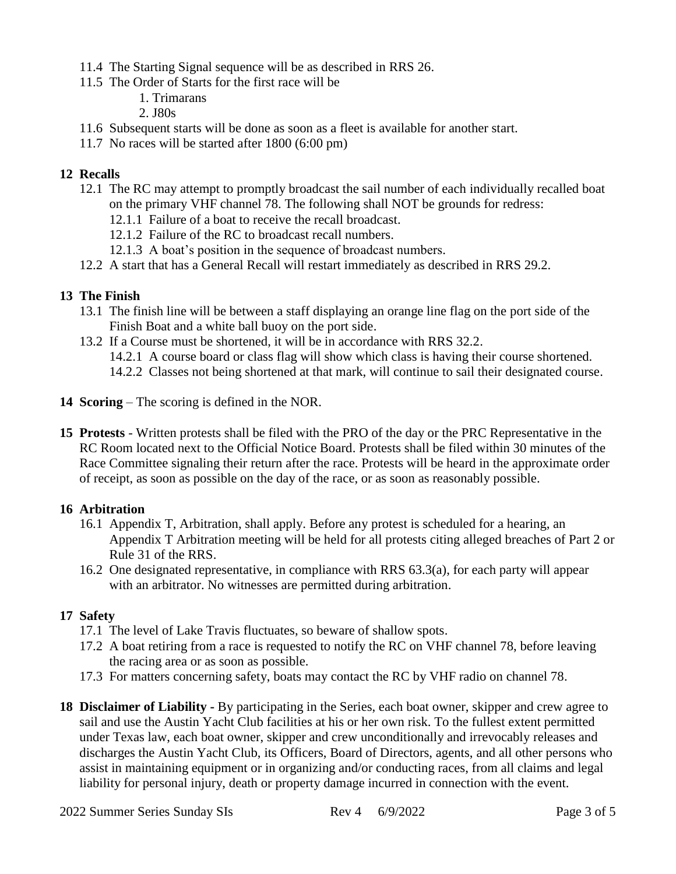- 11.4 The Starting Signal sequence will be as described in RRS 26.
- 11.5 The Order of Starts for the first race will be
	- 1. Trimarans
	- 2. J80s
- 11.6 Subsequent starts will be done as soon as a fleet is available for another start.
- 11.7 No races will be started after 1800 (6:00 pm)

#### **12 Recalls**

- 12.1 The RC may attempt to promptly broadcast the sail number of each individually recalled boat on the primary VHF channel 78. The following shall NOT be grounds for redress:
	- 12.1.1 Failure of a boat to receive the recall broadcast.
	- 12.1.2 Failure of the RC to broadcast recall numbers.
	- 12.1.3 A boat's position in the sequence of broadcast numbers.
- 12.2 A start that has a General Recall will restart immediately as described in RRS 29.2.

#### **13 The Finish**

- 13.1 The finish line will be between a staff displaying an orange line flag on the port side of the Finish Boat and a white ball buoy on the port side.
- 13.2 If a Course must be shortened, it will be in accordance with RRS 32.2.
	- 14.2.1 A course board or class flag will show which class is having their course shortened.
	- 14.2.2 Classes not being shortened at that mark, will continue to sail their designated course.
- **14 Scoring** The scoring is defined in the NOR.
- **15 Protests** Written protests shall be filed with the PRO of the day or the PRC Representative in the RC Room located next to the Official Notice Board. Protests shall be filed within 30 minutes of the Race Committee signaling their return after the race. Protests will be heard in the approximate order of receipt, as soon as possible on the day of the race, or as soon as reasonably possible.

#### **16 Arbitration**

- 16.1 Appendix T, Arbitration, shall apply. Before any protest is scheduled for a hearing, an Appendix T Arbitration meeting will be held for all protests citing alleged breaches of Part 2 or Rule 31 of the RRS.
- 16.2 One designated representative, in compliance with RRS 63.3(a), for each party will appear with an arbitrator. No witnesses are permitted during arbitration.

#### **17 Safety**

- 17.1 The level of Lake Travis fluctuates, so beware of shallow spots.
- 17.2 A boat retiring from a race is requested to notify the RC on VHF channel 78, before leaving the racing area or as soon as possible.
- 17.3 For matters concerning safety, boats may contact the RC by VHF radio on channel 78.
- **18 Disclaimer of Liability -** By participating in the Series, each boat owner, skipper and crew agree to sail and use the Austin Yacht Club facilities at his or her own risk. To the fullest extent permitted under Texas law, each boat owner, skipper and crew unconditionally and irrevocably releases and discharges the Austin Yacht Club, its Officers, Board of Directors, agents, and all other persons who assist in maintaining equipment or in organizing and/or conducting races, from all claims and legal liability for personal injury, death or property damage incurred in connection with the event.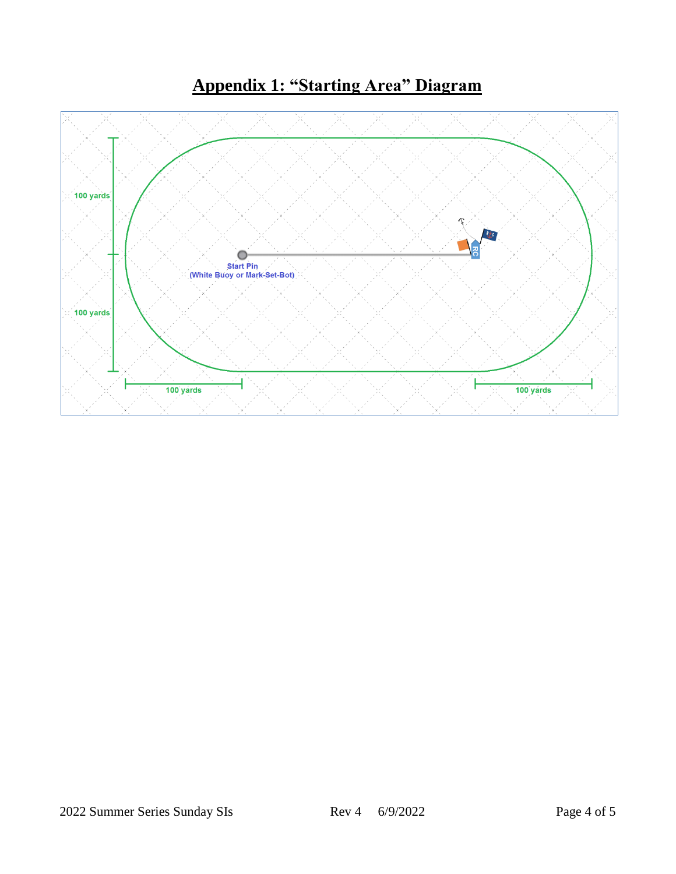## **Appendix 1: "Starting Area" Diagram**